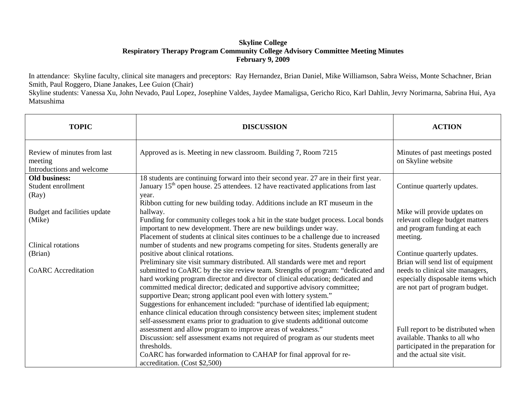## **Skyline College Respiratory Therapy Program Community College Advisory Committee Meeting Minutes February 9, 2009**

In attendance: Skyline faculty, clinical site managers and preceptors: Ray Hernandez, Brian Daniel, Mike Williamson, Sabra Weiss, Monte Schachner, Brian Smith, Paul Roggero, Diane Janakes, Lee Guion (Chair)

Skyline students: Vanessa Xu, John Nevado, Paul Lopez, Josephine Valdes, Jaydee Mamaligsa, Gericho Rico, Karl Dahlin, Jevry Norimarna, Sabrina Hui, Aya Matsushima

| <b>TOPIC</b>                                                        | <b>DISCUSSION</b>                                                                                                                                                                                                                                                                                                                                                                                                                                                                                                                                                        | <b>ACTION</b>                                                                                                                           |
|---------------------------------------------------------------------|--------------------------------------------------------------------------------------------------------------------------------------------------------------------------------------------------------------------------------------------------------------------------------------------------------------------------------------------------------------------------------------------------------------------------------------------------------------------------------------------------------------------------------------------------------------------------|-----------------------------------------------------------------------------------------------------------------------------------------|
| Review of minutes from last<br>meeting<br>Introductions and welcome | Approved as is. Meeting in new classroom. Building 7, Room 7215                                                                                                                                                                                                                                                                                                                                                                                                                                                                                                          | Minutes of past meetings posted<br>on Skyline website                                                                                   |
| <b>Old business:</b><br>Student enrollment<br>(Ray)                 | 18 students are continuing forward into their second year. 27 are in their first year.<br>January 15 <sup>th</sup> open house. 25 attendees. 12 have reactivated applications from last<br>year.                                                                                                                                                                                                                                                                                                                                                                         | Continue quarterly updates.                                                                                                             |
| Budget and facilities update<br>(Mike)                              | Ribbon cutting for new building today. Additions include an RT museum in the<br>hallway.<br>Funding for community colleges took a hit in the state budget process. Local bonds<br>important to new development. There are new buildings under way.<br>Placement of students at clinical sites continues to be a challenge due to increased                                                                                                                                                                                                                               | Mike will provide updates on<br>relevant college budget matters<br>and program funding at each<br>meeting.                              |
| Clinical rotations<br>(Brian)                                       | number of students and new programs competing for sites. Students generally are<br>positive about clinical rotations.<br>Preliminary site visit summary distributed. All standards were met and report                                                                                                                                                                                                                                                                                                                                                                   | Continue quarterly updates.<br>Brian will send list of equipment                                                                        |
| <b>CoARC</b> Accreditation                                          | submitted to CoARC by the site review team. Strengths of program: "dedicated and<br>hard working program director and director of clinical education; dedicated and<br>committed medical director; dedicated and supportive advisory committee;<br>supportive Dean; strong applicant pool even with lottery system."<br>Suggestions for enhancement included: "purchase of identified lab equipment;<br>enhance clinical education through consistency between sites; implement student<br>self-assessment exams prior to graduation to give students additional outcome | needs to clinical site managers,<br>especially disposable items which<br>are not part of program budget.                                |
|                                                                     | assessment and allow program to improve areas of weakness."<br>Discussion: self assessment exams not required of program as our students meet<br>thresholds.<br>CoARC has forwarded information to CAHAP for final approval for re-<br>accreditation. (Cost \$2,500)                                                                                                                                                                                                                                                                                                     | Full report to be distributed when<br>available. Thanks to all who<br>participated in the preparation for<br>and the actual site visit. |